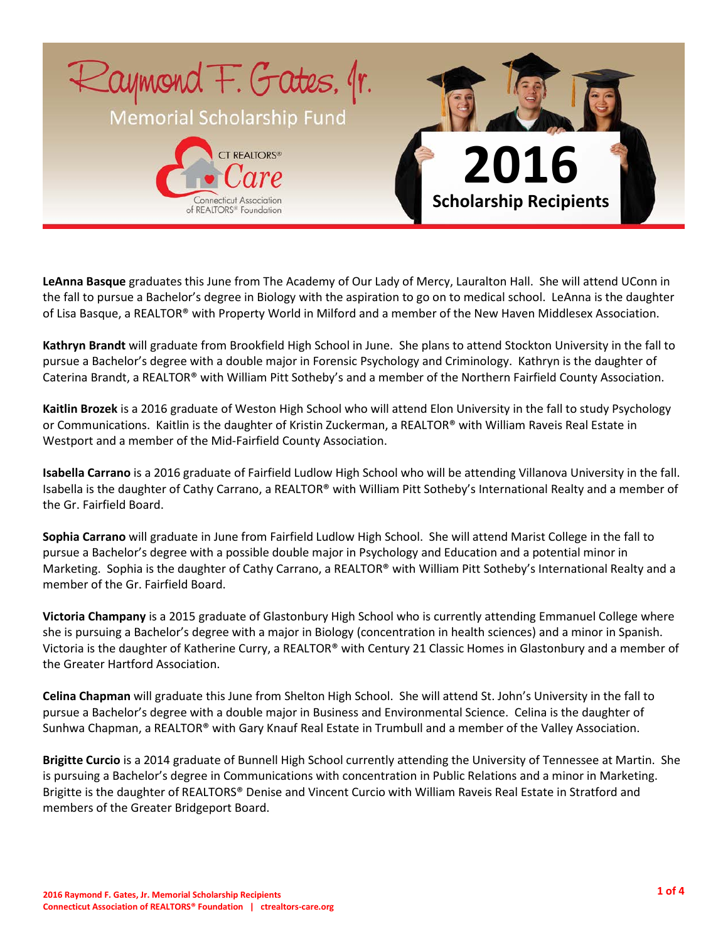

**LeAnna Basque** graduates this June from The Academy of Our Lady of Mercy, Lauralton Hall. She will attend UConn in the fall to pursue a Bachelor's degree in Biology with the aspiration to go on to medical school. LeAnna is the daughter of Lisa Basque, a REALTOR® with Property World in Milford and a member of the New Haven Middlesex Association.

**Kathryn Brandt** will graduate from Brookfield High School in June. She plans to attend Stockton University in the fall to pursue a Bachelor's degree with a double major in Forensic Psychology and Criminology. Kathryn is the daughter of Caterina Brandt, a REALTOR® with William Pitt Sotheby's and a member of the Northern Fairfield County Association.

**Kaitlin Brozek** is a 2016 graduate of Weston High School who will attend Elon University in the fall to study Psychology or Communications. Kaitlin is the daughter of Kristin Zuckerman, a REALTOR® with William Raveis Real Estate in Westport and a member of the Mid-Fairfield County Association.

**Isabella Carrano** is a 2016 graduate of Fairfield Ludlow High School who will be attending Villanova University in the fall. Isabella is the daughter of Cathy Carrano, a REALTOR® with William Pitt Sotheby's International Realty and a member of the Gr. Fairfield Board.

**Sophia Carrano** will graduate in June from Fairfield Ludlow High School. She will attend Marist College in the fall to pursue a Bachelor's degree with a possible double major in Psychology and Education and a potential minor in Marketing. Sophia is the daughter of Cathy Carrano, a REALTOR® with William Pitt Sotheby's International Realty and a member of the Gr. Fairfield Board.

**Victoria Champany** is a 2015 graduate of Glastonbury High School who is currently attending Emmanuel College where she is pursuing a Bachelor's degree with a major in Biology (concentration in health sciences) and a minor in Spanish. Victoria is the daughter of Katherine Curry, a REALTOR® with Century 21 Classic Homes in Glastonbury and a member of the Greater Hartford Association.

**Celina Chapman** will graduate this June from Shelton High School. She will attend St. John's University in the fall to pursue a Bachelor's degree with a double major in Business and Environmental Science. Celina is the daughter of Sunhwa Chapman, a REALTOR® with Gary Knauf Real Estate in Trumbull and a member of the Valley Association.

**Brigitte Curcio** is a 2014 graduate of Bunnell High School currently attending the University of Tennessee at Martin. She is pursuing a Bachelor's degree in Communications with concentration in Public Relations and a minor in Marketing. Brigitte is the daughter of REALTORS® Denise and Vincent Curcio with William Raveis Real Estate in Stratford and members of the Greater Bridgeport Board.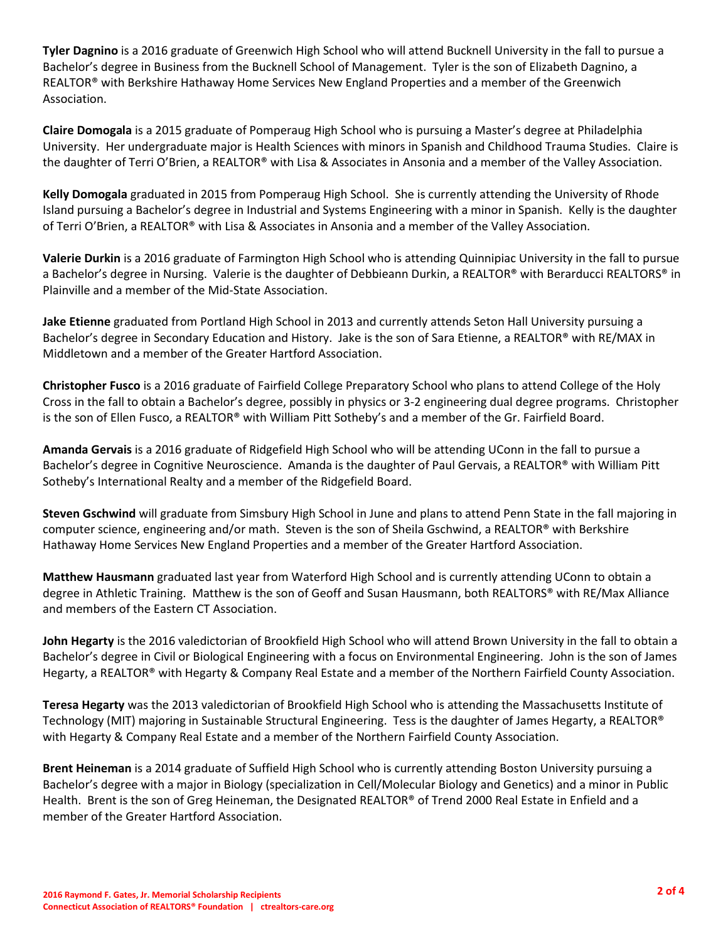**Tyler Dagnino** is a 2016 graduate of Greenwich High School who will attend Bucknell University in the fall to pursue a Bachelor's degree in Business from the Bucknell School of Management. Tyler is the son of Elizabeth Dagnino, a REALTOR® with Berkshire Hathaway Home Services New England Properties and a member of the Greenwich Association.

**Claire Domogala** is a 2015 graduate of Pomperaug High School who is pursuing a Master's degree at Philadelphia University. Her undergraduate major is Health Sciences with minors in Spanish and Childhood Trauma Studies. Claire is the daughter of Terri O'Brien, a REALTOR® with Lisa & Associates in Ansonia and a member of the Valley Association.

**Kelly Domogala** graduated in 2015 from Pomperaug High School. She is currently attending the University of Rhode Island pursuing a Bachelor's degree in Industrial and Systems Engineering with a minor in Spanish. Kelly is the daughter of Terri O'Brien, a REALTOR® with Lisa & Associates in Ansonia and a member of the Valley Association.

**Valerie Durkin** is a 2016 graduate of Farmington High School who is attending Quinnipiac University in the fall to pursue a Bachelor's degree in Nursing. Valerie is the daughter of Debbieann Durkin, a REALTOR® with Berarducci REALTORS® in Plainville and a member of the Mid-State Association.

**Jake Etienne** graduated from Portland High School in 2013 and currently attends Seton Hall University pursuing a Bachelor's degree in Secondary Education and History. Jake is the son of Sara Etienne, a REALTOR® with RE/MAX in Middletown and a member of the Greater Hartford Association.

**Christopher Fusco** is a 2016 graduate of Fairfield College Preparatory School who plans to attend College of the Holy Cross in the fall to obtain a Bachelor's degree, possibly in physics or 3-2 engineering dual degree programs. Christopher is the son of Ellen Fusco, a REALTOR® with William Pitt Sotheby's and a member of the Gr. Fairfield Board.

**Amanda Gervais** is a 2016 graduate of Ridgefield High School who will be attending UConn in the fall to pursue a Bachelor's degree in Cognitive Neuroscience. Amanda is the daughter of Paul Gervais, a REALTOR® with William Pitt Sotheby's International Realty and a member of the Ridgefield Board.

**Steven Gschwind** will graduate from Simsbury High School in June and plans to attend Penn State in the fall majoring in computer science, engineering and/or math. Steven is the son of Sheila Gschwind, a REALTOR® with Berkshire Hathaway Home Services New England Properties and a member of the Greater Hartford Association.

**Matthew Hausmann** graduated last year from Waterford High School and is currently attending UConn to obtain a degree in Athletic Training. Matthew is the son of Geoff and Susan Hausmann, both REALTORS® with RE/Max Alliance and members of the Eastern CT Association.

**John Hegarty** is the 2016 valedictorian of Brookfield High School who will attend Brown University in the fall to obtain a Bachelor's degree in Civil or Biological Engineering with a focus on Environmental Engineering. John is the son of James Hegarty, a REALTOR<sup>®</sup> with Hegarty & Company Real Estate and a member of the Northern Fairfield County Association.

**Teresa Hegarty** was the 2013 valedictorian of Brookfield High School who is attending the Massachusetts Institute of Technology (MIT) majoring in Sustainable Structural Engineering. Tess is the daughter of James Hegarty, a REALTOR® with Hegarty & Company Real Estate and a member of the Northern Fairfield County Association.

**Brent Heineman** is a 2014 graduate of Suffield High School who is currently attending Boston University pursuing a Bachelor's degree with a major in Biology (specialization in Cell/Molecular Biology and Genetics) and a minor in Public Health. Brent is the son of Greg Heineman, the Designated REALTOR® of Trend 2000 Real Estate in Enfield and a member of the Greater Hartford Association.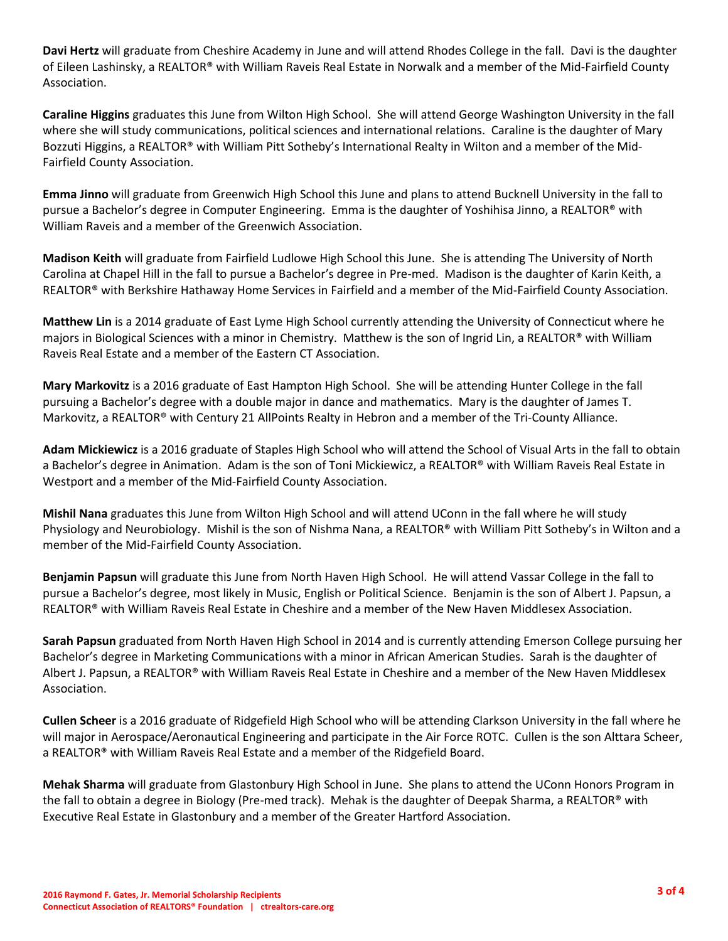**Davi Hertz** will graduate from Cheshire Academy in June and will attend Rhodes College in the fall. Davi is the daughter of Eileen Lashinsky, a REALTOR® with William Raveis Real Estate in Norwalk and a member of the Mid-Fairfield County Association.

**Caraline Higgins** graduates this June from Wilton High School. She will attend George Washington University in the fall where she will study communications, political sciences and international relations. Caraline is the daughter of Mary Bozzuti Higgins, a REALTOR® with William Pitt Sotheby's International Realty in Wilton and a member of the Mid-Fairfield County Association.

**Emma Jinno** will graduate from Greenwich High School this June and plans to attend Bucknell University in the fall to pursue a Bachelor's degree in Computer Engineering. Emma is the daughter of Yoshihisa Jinno, a REALTOR® with William Raveis and a member of the Greenwich Association.

**Madison Keith** will graduate from Fairfield Ludlowe High School this June. She is attending The University of North Carolina at Chapel Hill in the fall to pursue a Bachelor's degree in Pre-med. Madison is the daughter of Karin Keith, a REALTOR® with Berkshire Hathaway Home Services in Fairfield and a member of the Mid-Fairfield County Association.

**Matthew Lin** is a 2014 graduate of East Lyme High School currently attending the University of Connecticut where he majors in Biological Sciences with a minor in Chemistry. Matthew is the son of Ingrid Lin, a REALTOR® with William Raveis Real Estate and a member of the Eastern CT Association.

**Mary Markovitz** is a 2016 graduate of East Hampton High School. She will be attending Hunter College in the fall pursuing a Bachelor's degree with a double major in dance and mathematics. Mary is the daughter of James T. Markovitz, a REALTOR® with Century 21 AllPoints Realty in Hebron and a member of the Tri-County Alliance.

**Adam Mickiewicz** is a 2016 graduate of Staples High School who will attend the School of Visual Arts in the fall to obtain a Bachelor's degree in Animation. Adam is the son of Toni Mickiewicz, a REALTOR® with William Raveis Real Estate in Westport and a member of the Mid-Fairfield County Association.

**Mishil Nana** graduates this June from Wilton High School and will attend UConn in the fall where he will study Physiology and Neurobiology. Mishil is the son of Nishma Nana, a REALTOR® with William Pitt Sotheby's in Wilton and a member of the Mid-Fairfield County Association.

**Benjamin Papsun** will graduate this June from North Haven High School. He will attend Vassar College in the fall to pursue a Bachelor's degree, most likely in Music, English or Political Science. Benjamin is the son of Albert J. Papsun, a REALTOR® with William Raveis Real Estate in Cheshire and a member of the New Haven Middlesex Association.

**Sarah Papsun** graduated from North Haven High School in 2014 and is currently attending Emerson College pursuing her Bachelor's degree in Marketing Communications with a minor in African American Studies. Sarah is the daughter of Albert J. Papsun, a REALTOR® with William Raveis Real Estate in Cheshire and a member of the New Haven Middlesex Association.

**Cullen Scheer** is a 2016 graduate of Ridgefield High School who will be attending Clarkson University in the fall where he will major in Aerospace/Aeronautical Engineering and participate in the Air Force ROTC. Cullen is the son Alttara Scheer, a REALTOR® with William Raveis Real Estate and a member of the Ridgefield Board.

**Mehak Sharma** will graduate from Glastonbury High School in June. She plans to attend the UConn Honors Program in the fall to obtain a degree in Biology (Pre-med track). Mehak is the daughter of Deepak Sharma, a REALTOR® with Executive Real Estate in Glastonbury and a member of the Greater Hartford Association.